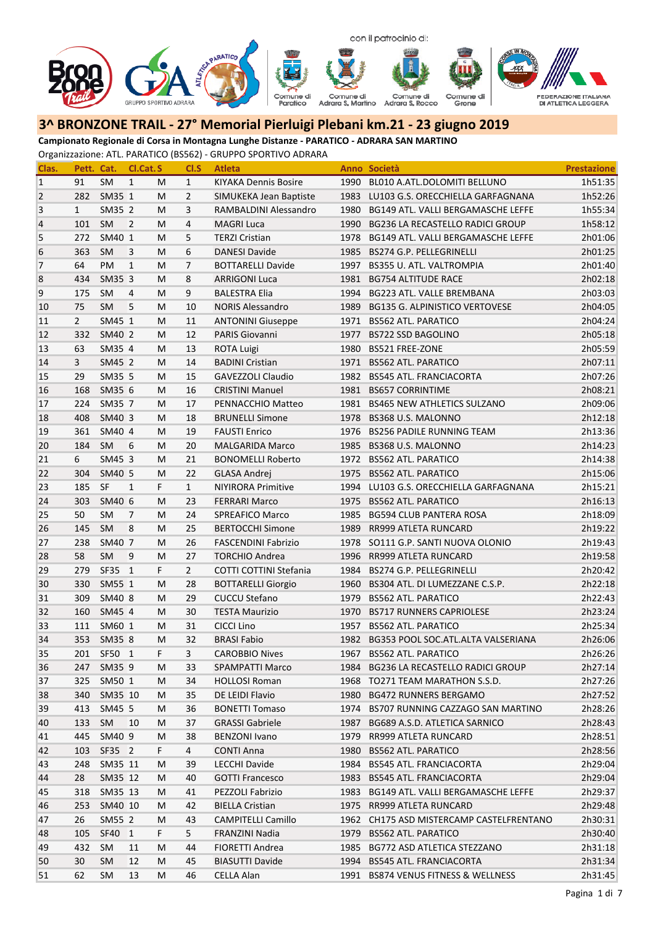

**Campionato Regionale di Corsa in Montagna Lunghe Distanze ‐ PARATICO ‐ ADRARA SAN MARTINO**

| Clas.           | Pett. Cat.     |           | Cl.Cat.S       |    | CI.S           | <b>Atleta</b>               |      | Anno Società                             | <b>Prestazione</b> |
|-----------------|----------------|-----------|----------------|----|----------------|-----------------------------|------|------------------------------------------|--------------------|
| $\mathbf{1}$    | 91             | <b>SM</b> | $\mathbf{1}$   | M  | $\mathbf{1}$   | <b>KIYAKA Dennis Bosire</b> | 1990 | BL010 A.ATL.DOLOMITI BELLUNO             | 1h51:35            |
| $\overline{2}$  | 282            | SM35 1    |                | M  | 2              | SIMUKEKA Jean Baptiste      | 1983 | LU103 G.S. ORECCHIELLA GARFAGNANA        | 1h52:26            |
| 3               | $\mathbf{1}$   | SM35 2    |                | M  | 3              | RAMBALDINI Alessandro       | 1980 | BG149 ATL. VALLI BERGAMASCHE LEFFE       | 1h55:34            |
| $\overline{4}$  | 101            | SM        | 2              | M  | 4              | <b>MAGRI Luca</b>           | 1990 | BG236 LA RECASTELLO RADICI GROUP         | 1h58:12            |
| 5               | 272            | SM40 1    |                | М  | 5              | <b>TERZI Cristian</b>       | 1978 | BG149 ATL. VALLI BERGAMASCHE LEFFE       | 2h01:06            |
| $6\phantom{1}6$ | 363            | SM        | 3              | М  | 6              | <b>DANESI Davide</b>        | 1985 | BS274 G.P. PELLEGRINELLI                 | 2h01:25            |
| $\overline{7}$  | 64             | PM        | 1              | M  | $\overline{7}$ | <b>BOTTARELLI Davide</b>    | 1997 | BS355 U. ATL. VALTROMPIA                 | 2h01:40            |
| 8               | 434            | SM35 3    |                | M  | 8              | <b>ARRIGONI Luca</b>        | 1981 | <b>BG754 ALTITUDE RACE</b>               | 2h02:18            |
| 9               | 175            | <b>SM</b> | 4              | M  | 9              | <b>BALESTRA Elia</b>        | 1994 | BG223 ATL. VALLE BREMBANA                | 2h03:03            |
| 10              | 75             | SM        | 5              | М  | 10             | <b>NORIS Alessandro</b>     | 1989 | <b>BG135 G. ALPINISTICO VERTOVESE</b>    | 2h04:05            |
| 11              | $\overline{2}$ | SM45 1    |                | М  | 11             | <b>ANTONINI Giuseppe</b>    | 1971 | <b>BS562 ATL. PARATICO</b>               | 2h04:24            |
| 12              | 332            | SM40 2    |                | M  | 12             | PARIS Giovanni              | 1977 | <b>BS722 SSD BAGOLINO</b>                | 2h05:18            |
| 13              | 63             | SM35 4    |                | M  | 13             | <b>ROTA Luigi</b>           | 1980 | <b>BS521 FREE-ZONE</b>                   | 2h05:59            |
| 14              | $\mathbf{3}$   | SM45 2    |                | M  | 14             | <b>BADINI Cristian</b>      | 1971 | <b>BS562 ATL. PARATICO</b>               | 2h07:11            |
| 15              | 29             | SM35 5    |                | М  | 15             | <b>GAVEZZOLI Claudio</b>    | 1982 | <b>BS545 ATL. FRANCIACORTA</b>           | 2h07:26            |
| 16              | 168            | SM35 6    |                | М  | 16             | <b>CRISTINI Manuel</b>      | 1981 | <b>BS657 CORRINTIME</b>                  | 2h08:21            |
| 17              | 224            | SM35 7    |                | М  | 17             | PENNACCHIO Matteo           | 1981 | <b>BS465 NEW ATHLETICS SULZANO</b>       | 2h09:06            |
| 18              | 408            | SM40 3    |                | М  | 18             | <b>BRUNELLI Simone</b>      | 1978 | BS368 U.S. MALONNO                       | 2h12:18            |
| 19              | 361            | SM40 4    |                | M  | 19             | <b>FAUSTI Enrico</b>        |      | 1976 BS256 PADILE RUNNING TEAM           | 2h13:36            |
| 20              | 184            | SM        | 6              | М  | 20             | <b>MALGARIDA Marco</b>      | 1985 | BS368 U.S. MALONNO                       | 2h14:23            |
| 21              | 6              | SM45 3    |                | М  | 21             | <b>BONOMELLI Roberto</b>    | 1972 | <b>BS562 ATL. PARATICO</b>               | 2h14:38            |
| 22              | 304            | SM40 5    |                | M  | 22             | GLASA Andrej                | 1975 | <b>BS562 ATL. PARATICO</b>               | 2h15:06            |
| 23              | 185            | SF        | $\mathbf{1}$   | F. | $\mathbf{1}$   | <b>NIYIRORA Primitive</b>   | 1994 | LU103 G.S. ORECCHIELLA GARFAGNANA        | 2h15:21            |
| 24              | 303            | SM40 6    |                | M  | 23             | <b>FERRARI Marco</b>        | 1975 | <b>BS562 ATL. PARATICO</b>               | 2h16:13            |
| 25              | 50             | SM        | $\overline{7}$ | М  | 24             | <b>SPREAFICO Marco</b>      | 1985 | <b>BG594 CLUB PANTERA ROSA</b>           | 2h18:09            |
| 26              | 145            | SM        | 8              | M  | 25             | <b>BERTOCCHI Simone</b>     | 1989 | RR999 ATLETA RUNCARD                     | 2h19:22            |
| 27              | 238            | SM40 7    |                | M  | 26             | <b>FASCENDINI Fabrizio</b>  | 1978 | SO111 G.P. SANTI NUOVA OLONIO            | 2h19:43            |
| 28              | 58             | SM        | 9              | M  | 27             | <b>TORCHIO Andrea</b>       | 1996 | RR999 ATLETA RUNCARD                     | 2h19:58            |
| 29              | 279            | SF35 1    |                | F  | $\overline{2}$ | COTTI COTTINI Stefania      | 1984 | BS274 G.P. PELLEGRINELLI                 | 2h20:42            |
| 30              | 330            | SM55 1    |                | М  | 28             | <b>BOTTARELLI Giorgio</b>   | 1960 | BS304 ATL. DI LUMEZZANE C.S.P.           | 2h22:18            |
| 31              | 309            | SM40 8    |                | М  | 29             | <b>CUCCU Stefano</b>        | 1979 | <b>BS562 ATL. PARATICO</b>               | 2h22:43            |
| 32              | 160            | SM45 4    |                | M  | 30             | <b>TESTA Maurizio</b>       | 1970 | <b>BS717 RUNNERS CAPRIOLESE</b>          | 2h23:24            |
| 33              | 111            | SM60 1    |                | M  | 31             | CICCI Lino                  | 1957 | <b>BS562 ATL. PARATICO</b>               | 2h25:34            |
| 34              | 353            | SM35 8    |                | М  | 32             | <b>BRASI Fabio</b>          | 1982 | BG353 POOL SOC.ATL.ALTA VALSERIANA       | 2h26:06            |
| 35              | 201            | SF50 1    |                | F  | 3              | <b>CAROBBIO Nives</b>       |      | 1967 BS562 ATL. PARATICO                 | 2h26:26            |
| 36              | 247            | SM35 9    |                | M  | 33             | <b>SPAMPATTI Marco</b>      |      | 1984 BG236 LA RECASTELLO RADICI GROUP    | 2h27:14            |
| 37              | 325            | SM50 1    |                | M  | 34             | <b>HOLLOSI Roman</b>        |      | 1968 TO271 TEAM MARATHON S.S.D.          | 2h27:26            |
| 38              | 340            | SM35 10   |                | M  | 35             | DE LEIDI Flavio             |      | 1980 BG472 RUNNERS BERGAMO               | 2h27:52            |
| 39              | 413            | SM45 5    |                | M  | 36             | <b>BONETTI Tomaso</b>       |      | 1974 BS707 RUNNING CAZZAGO SAN MARTINO   | 2h28:26            |
| 40              | 133            | SM        | 10             | M  | 37             | <b>GRASSI Gabriele</b>      |      | 1987 BG689 A.S.D. ATLETICA SARNICO       | 2h28:43            |
| 41              | 445            | SM40 9    |                | M  | 38             | <b>BENZONI Ivano</b>        | 1979 | RR999 ATLETA RUNCARD                     | 2h28:51            |
| 42              | 103            | SF35 2    |                | F. | 4              | CONTI Anna                  | 1980 | <b>BS562 ATL. PARATICO</b>               | 2h28:56            |
| 43              | 248            | SM35 11   |                | M  | 39             | <b>LECCHI Davide</b>        | 1984 | <b>BS545 ATL. FRANCIACORTA</b>           | 2h29:04            |
| 44              | 28             | SM35 12   |                | M  | 40             | <b>GOTTI Francesco</b>      | 1983 | <b>BS545 ATL. FRANCIACORTA</b>           | 2h29:04            |
| 45              | 318            | SM35 13   |                | M  | 41             | PEZZOLI Fabrizio            | 1983 | BG149 ATL. VALLI BERGAMASCHE LEFFE       | 2h29:37            |
| 46              | 253            | SM40 10   |                | M  | 42             | <b>BIELLA Cristian</b>      | 1975 | RR999 ATLETA RUNCARD                     | 2h29:48            |
| 47              | 26             | SM55 2    |                | M  | 43             | <b>CAMPITELLI Camillo</b>   |      | 1962 CH175 ASD MISTERCAMP CASTELFRENTANO | 2h30:31            |
| 48              | 105            | SF40 1    |                | F. | 5              | FRANZINI Nadia              | 1979 | <b>BS562 ATL. PARATICO</b>               | 2h30:40            |
| 49              | 432            | SM        | 11             | M  | 44             | FIORETTI Andrea             | 1985 | BG772 ASD ATLETICA STEZZANO              | 2h31:18            |
| 50              | 30             | SM        | 12             | M  | 45             | <b>BIASUTTI Davide</b>      |      | 1994 BS545 ATL. FRANCIACORTA             | 2h31:34            |
| 51              | 62             | SM        | 13             | M  | 46             | CELLA Alan                  |      | 1991 BS874 VENUS FITNESS & WELLNESS      | 2h31:45            |
|                 |                |           |                |    |                |                             |      |                                          |                    |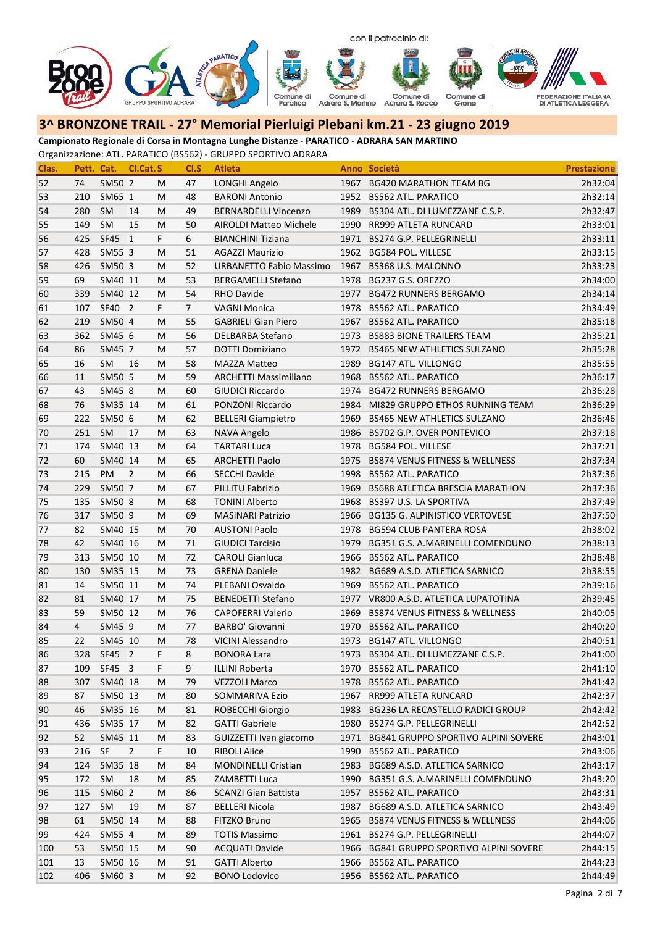

**Campionato Regionale di Corsa in Montagna Lunghe Distanze ‐ PARATICO ‐ ADRARA SAN MARTINO**

| Clas. | Pett. Cat.     |            | Cl.Cat.S       |    | CI.S | <b>Atleta</b>                  |      | Anno Società                               | <b>Prestazione</b> |
|-------|----------------|------------|----------------|----|------|--------------------------------|------|--------------------------------------------|--------------------|
| 52    | 74             | SM50 2     |                | М  | 47   | LONGHI Angelo                  | 1967 | <b>BG420 MARATHON TEAM BG</b>              | 2h32:04            |
| 53    | 210            | SM65 1     |                | М  | 48   | <b>BARONI Antonio</b>          |      | 1952 BS562 ATL. PARATICO                   | 2h32:14            |
| 54    | 280            | <b>SM</b>  | 14             | М  | 49   | <b>BERNARDELLI Vincenzo</b>    | 1989 | BS304 ATL. DI LUMEZZANE C.S.P.             | 2h32:47            |
| 55    | 149            | <b>SM</b>  | 15             | М  | 50   | AIROLDI Matteo Michele         | 1990 | RR999 ATLETA RUNCARD                       | 2h33:01            |
| 56    | 425            | SF45 1     |                | F. | 6    | <b>BIANCHINI Tiziana</b>       | 1971 | BS274 G.P. PELLEGRINELLI                   | 2h33:11            |
| 57    | 428            | SM55 3     |                | M  | 51   | <b>AGAZZI Maurizio</b>         | 1962 | <b>BG584 POL. VILLESE</b>                  | 2h33:15            |
| 58    | 426            | SM50 3     |                | М  | 52   | <b>URBANETTO Fabio Massimo</b> | 1967 | BS368 U.S. MALONNO                         | 2h33:23            |
| 59    | 69             | SM40 11    |                | M  | 53   | <b>BERGAMELLI Stefano</b>      | 1978 | BG237 G.S. OREZZO                          | 2h34:00            |
| 60    | 339            | SM40 12    |                | M  | 54   | <b>RHO Davide</b>              | 1977 | <b>BG472 RUNNERS BERGAMO</b>               | 2h34:14            |
| 61    | 107            | SF40 2     |                | F  | 7    | <b>VAGNI Monica</b>            | 1978 | <b>BS562 ATL. PARATICO</b>                 | 2h34:49            |
| 62    | 219            | SM50 4     |                | М  | 55   | <b>GABRIELI Gian Piero</b>     | 1967 | <b>BS562 ATL. PARATICO</b>                 | 2h35:18            |
| 63    | 362            | SM45 6     |                | M  | 56   | <b>DELBARBA Stefano</b>        | 1973 | <b>BS883 BIONE TRAILERS TEAM</b>           | 2h35:21            |
| 64    | 86             | SM45 7     |                | M  | 57   | DOTTI Domiziano                | 1972 | <b>BS465 NEW ATHLETICS SULZANO</b>         | 2h35:28            |
| 65    | 16             | <b>SM</b>  | 16             | M  | 58   | <b>MAZZA Matteo</b>            | 1989 | <b>BG147 ATL. VILLONGO</b>                 | 2h35:55            |
| 66    | 11             | SM50 5     |                | м  | 59   | <b>ARCHETTI Massimiliano</b>   | 1968 | <b>BS562 ATL. PARATICO</b>                 | 2h36:17            |
| 67    | 43             | SM45 8     |                | М  | 60   | <b>GIUDICI Riccardo</b>        | 1974 | <b>BG472 RUNNERS BERGAMO</b>               | 2h36:28            |
| 68    | 76             | SM35 14    |                | М  | 61   | PONZONI Riccardo               | 1984 | MI829 GRUPPO ETHOS RUNNING TEAM            | 2h36:29            |
| 69    | 222            | SM50 6     |                | М  | 62   | <b>BELLERI Giampietro</b>      | 1969 | <b>BS465 NEW ATHLETICS SULZANO</b>         | 2h36:46            |
| 70    | 251            | SM         | 17             | М  | 63   | NAVA Angelo                    | 1986 | BS702 G.P. OVER PONTEVICO                  | 2h37:18            |
| 71    | 174            | SM40 13    |                | М  | 64   | <b>TARTARI Luca</b>            | 1978 | BG584 POL. VILLESE                         | 2h37:21            |
| 72    | 60             | SM40 14    |                | М  | 65   | <b>ARCHETTI Paolo</b>          | 1975 | <b>BS874 VENUS FITNESS &amp; WELLNESS</b>  | 2h37:34            |
| 73    | 215            | PM         | $\overline{2}$ | М  | 66   | <b>SECCHI Davide</b>           | 1998 | <b>BS562 ATL. PARATICO</b>                 | 2h37:36            |
| 74    | 229            | SM50 7     |                | M  | 67   | PILLITU Fabrizio               | 1969 | <b>BS688 ATLETICA BRESCIA MARATHON</b>     | 2h37:36            |
| 75    | 135            | SM50 8     |                | М  | 68   | <b>TONINI Alberto</b>          | 1968 | BS397 U.S. LA SPORTIVA                     | 2h37:49            |
| 76    | 317            | SM50 9     |                | М  | 69   | <b>MASINARI Patrizio</b>       | 1966 | <b>BG135 G. ALPINISTICO VERTOVESE</b>      | 2h37:50            |
| 77    | 82             | SM40 15    |                | M  | 70   | <b>AUSTONI Paolo</b>           | 1978 | <b>BG594 CLUB PANTERA ROSA</b>             | 2h38:02            |
| 78    | 42             | SM40 16    |                | M  | 71   | <b>GIUDICI Tarcisio</b>        | 1979 | BG351 G.S. A.MARINELLI COMENDUNO           | 2h38:13            |
| 79    | 313            | SM50 10    |                | M  | 72   | <b>CAROLI Gianluca</b>         | 1966 | <b>BS562 ATL. PARATICO</b>                 | 2h38:48            |
| 80    | 130            | SM35 15    |                | M  | 73   | <b>GRENA Daniele</b>           | 1982 | BG689 A.S.D. ATLETICA SARNICO              | 2h38:55            |
| 81    | 14             | SM50 11    |                | M  | 74   | PLEBANI Osvaldo                | 1969 | <b>BS562 ATL. PARATICO</b>                 | 2h39:16            |
| 82    | 81             | SM40 17    |                | M  | 75   | <b>BENEDETTI Stefano</b>       |      | 1977 VR800 A.S.D. ATLETICA LUPATOTINA      | 2h39:45            |
| 83    | 59             | SM50 12    |                | M  | 76   | CAPOFERRI Valerio              | 1969 | <b>BS874 VENUS FITNESS &amp; WELLNESS</b>  | 2h40:05            |
| 84    | $\overline{4}$ | SM45 9     |                | M  | 77   | <b>BARBO' Giovanni</b>         | 1970 | <b>BS562 ATL. PARATICO</b>                 | 2h40:20            |
| 85    | 22             | SM45 10    |                | М  | 78   | VICINI Alessandro              | 1973 | <b>BG147 ATL. VILLONGO</b>                 | 2h40:51            |
| 86    |                | 328 SF45 2 |                | F. | 8    | <b>BONORA Lara</b>             |      | 1973 BS304 ATL. DI LUMEZZANE C.S.P.        | 2h41:00            |
| 87    | 109            | SF45 3     |                | F. | 9    | <b>ILLINI Roberta</b>          |      | 1970 BS562 ATL. PARATICO                   | 2h41:10            |
| 88    | 307            | SM40 18    |                | м  | 79   | <b>VEZZOLI Marco</b>           |      | 1978 BS562 ATL. PARATICO                   | 2h41:42            |
| 89    | 87             | SM50 13    |                | M  | 80   | SOMMARIVA Ezio                 | 1967 | RR999 ATLETA RUNCARD                       | 2h42:37            |
| 90    | 46             | SM35 16    |                | м  | 81   | ROBECCHI Giorgio               |      | 1983 BG236 LA RECASTELLO RADICI GROUP      | 2h42:42            |
| 91    | 436            | SM35 17    |                | м  | 82   | <b>GATTI Gabriele</b>          |      | 1980 BS274 G.P. PELLEGRINELLI              | 2h42:52            |
| 92    | 52             | SM45 11    |                | M  | 83   | GUIZZETTI Ivan giacomo         |      | 1971 BG841 GRUPPO SPORTIVO ALPINI SOVERE   | 2h43:01            |
| 93    | 216            | SF         | $\overline{2}$ | F. | 10   | <b>RIBOLI Alice</b>            | 1990 | <b>BS562 ATL. PARATICO</b>                 | 2h43:06            |
| 94    | 124            | SM35 18    |                | M  | 84   | <b>MONDINELLI Cristian</b>     | 1983 | BG689 A.S.D. ATLETICA SARNICO              | 2h43:17            |
| 95    | 172            | <b>SM</b>  | 18             | м  | 85   | ZAMBETTI Luca                  | 1990 | BG351 G.S. A.MARINELLI COMENDUNO           | 2h43:20            |
| 96    | 115            | SM60 2     |                | м  | 86   | <b>SCANZI Gian Battista</b>    | 1957 | <b>BS562 ATL. PARATICO</b>                 | 2h43:31            |
| 97    | 127            | SM         | 19             | м  | 87   | <b>BELLERI Nicola</b>          | 1987 | BG689 A.S.D. ATLETICA SARNICO              | 2h43:49            |
| 98    | 61             | SM50 14    |                | м  | 88   | FITZKO Bruno                   | 1965 | BS874 VENUS FITNESS & WELLNESS             | 2h44:06            |
| 99    | 424            | SM55 4     |                | М  | 89   | <b>TOTIS Massimo</b>           | 1961 | BS274 G.P. PELLEGRINELLI                   | 2h44:07            |
| 100   | 53             | SM50 15    |                | М  | 90   | <b>ACQUATI Davide</b>          | 1966 | <b>BG841 GRUPPO SPORTIVO ALPINI SOVERE</b> | 2h44:15            |
| 101   | 13             | SM50 16    |                | м  | 91   | <b>GATTI Alberto</b>           | 1966 | <b>BS562 ATL. PARATICO</b>                 | 2h44:23            |
| 102   | 406            | SM60 3     |                | M  | 92   | <b>BONO Lodovico</b>           |      | 1956 BS562 ATL. PARATICO                   | 2h44:49            |
|       |                |            |                |    |      |                                |      |                                            |                    |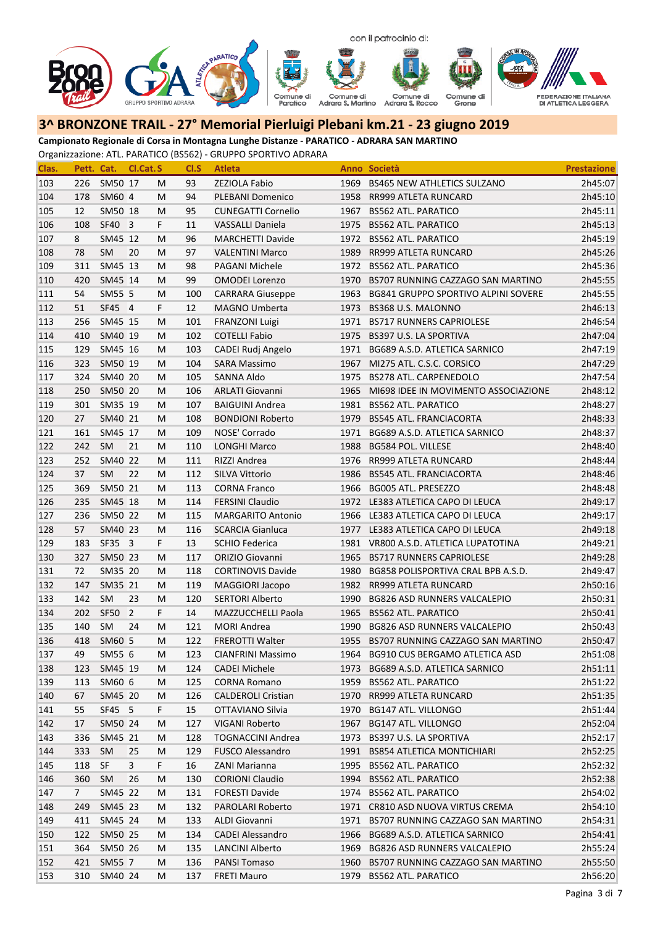

**Campionato Regionale di Corsa in Montagna Lunghe Distanze ‐ PARATICO ‐ ADRARA SAN MARTINO**

| Clas. | Pett. Cat. |             | Cl.Cat.S |    | CI.S | <b>Atleta</b>             |      | Anno Società                             | <b>Prestazione</b> |
|-------|------------|-------------|----------|----|------|---------------------------|------|------------------------------------------|--------------------|
| 103   | 226        | SM50 17     |          | M  | 93   | ZEZIOLA Fabio             |      | 1969 BS465 NEW ATHLETICS SULZANO         | 2h45:07            |
| 104   | 178        | SM60 4      |          | М  | 94   | PLEBANI Domenico          |      | 1958 RR999 ATLETA RUNCARD                | 2h45:10            |
| 105   | 12         | SM50 18     |          | M  | 95   | <b>CUNEGATTI Cornelio</b> | 1967 | <b>BS562 ATL. PARATICO</b>               | 2h45:11            |
| 106   | 108        | SF40 3      |          | F. | 11   | <b>VASSALLI Daniela</b>   |      | 1975 BS562 ATL. PARATICO                 | 2h45:13            |
| 107   | 8          | SM45 12     |          | М  | 96   | <b>MARCHETTI Davide</b>   |      | 1972 BS562 ATL. PARATICO                 | 2h45:19            |
| 108   | 78         | <b>SM</b>   | 20       | M  | 97   | <b>VALENTINI Marco</b>    | 1989 | RR999 ATLETA RUNCARD                     | 2h45:26            |
| 109   | 311        | SM45 13     |          | M  | 98   | PAGANI Michele            |      | 1972 BS562 ATL. PARATICO                 | 2h45:36            |
| 110   | 420        | SM45 14     |          | M  | 99   | <b>OMODEI Lorenzo</b>     |      | 1970 BS707 RUNNING CAZZAGO SAN MARTINO   | 2h45:55            |
| 111   | 54         | SM55 5      |          | M  | 100  | <b>CARRARA Giuseppe</b>   |      | 1963 BG841 GRUPPO SPORTIVO ALPINI SOVERE | 2h45:55            |
| 112   | 51         | SF45 4      |          | F. | 12   | <b>MAGNO Umberta</b>      | 1973 | BS368 U.S. MALONNO                       | 2h46:13            |
| 113   | 256        | SM45 15     |          | M  | 101  | FRANZONI Luigi            |      | 1971 BS717 RUNNERS CAPRIOLESE            | 2h46:54            |
| 114   | 410        | SM40 19     |          | M  | 102  | <b>COTELLI Fabio</b>      |      | 1975 BS397 U.S. LA SPORTIVA              | 2h47:04            |
| 115   | 129        | SM45 16     |          | M  | 103  | CADEI Rudj Angelo         | 1971 | BG689 A.S.D. ATLETICA SARNICO            | 2h47:19            |
| 116   | 323        | SM50 19     |          | M  | 104  | <b>SARA Massimo</b>       | 1967 | MI275 ATL. C.S.C. CORSICO                | 2h47:29            |
| 117   | 324        | SM40 20     |          | M  | 105  | SANNA Aldo                | 1975 | <b>BS278 ATL. CARPENEDOLO</b>            | 2h47:54            |
| 118   | 250        | SM50 20     |          | M  | 106  | <b>ARLATI Giovanni</b>    | 1965 | MI698 IDEE IN MOVIMENTO ASSOCIAZIONE     | 2h48:12            |
| 119   | 301        | SM35 19     |          | M  | 107  | <b>BAIGUINI Andrea</b>    |      | 1981 BS562 ATL. PARATICO                 | 2h48:27            |
| 120   | 27         | SM40 21     |          | M  | 108  | <b>BONDIONI Roberto</b>   |      | 1979 BS545 ATL. FRANCIACORTA             | 2h48:33            |
| 121   | 161        | SM45 17     |          | М  | 109  | NOSE' Corrado             | 1971 | BG689 A.S.D. ATLETICA SARNICO            | 2h48:37            |
| 122   | 242        | SM          | 21       | M  | 110  | <b>LONGHI Marco</b>       | 1988 | <b>BG584 POL. VILLESE</b>                | 2h48:40            |
| 123   | 252        | SM40 22     |          | M  | 111  | RIZZI Andrea              |      | 1976 RR999 ATLETA RUNCARD                | 2h48:44            |
| 124   | 37         | <b>SM</b>   | 22       | M  | 112  | <b>SILVA Vittorio</b>     |      | 1986 BS545 ATL. FRANCIACORTA             | 2h48:46            |
| 125   | 369        | SM50 21     |          | M  | 113  | <b>CORNA Franco</b>       |      | 1966 BG005 ATL. PRESEZZO                 | 2h48:48            |
| 126   | 235        | SM45 18     |          | М  | 114  | <b>FERSINI Claudio</b>    |      | 1972 LE383 ATLETICA CAPO DI LEUCA        | 2h49:17            |
| 127   | 236        | SM50 22     |          | M  | 115  | <b>MARGARITO Antonio</b>  |      | 1966 LE383 ATLETICA CAPO DI LEUCA        | 2h49:17            |
| 128   | 57         | SM40 23     |          | M  | 116  | <b>SCARCIA Gianluca</b>   |      | 1977 LE383 ATLETICA CAPO DI LEUCA        | 2h49:18            |
| 129   | 183        | SF35 3      |          | F  | 13   | <b>SCHIO Federica</b>     |      | 1981 VR800 A.S.D. ATLETICA LUPATOTINA    | 2h49:21            |
| 130   | 327        | SM50 23     |          | M  | 117  | ORIZIO Giovanni           |      | 1965 BS717 RUNNERS CAPRIOLESE            | 2h49:28            |
| 131   | 72         | SM35 20     |          | M  | 118  | <b>CORTINOVIS Davide</b>  | 1980 | BG858 POLISPORTIVA CRAL BPB A.S.D.       | 2h49:47            |
| 132   | 147        | SM35 21     |          | M  | 119  | <b>MAGGIORI Jacopo</b>    |      | 1982 RR999 ATLETA RUNCARD                | 2h50:16            |
| 133   | 142        | <b>SM</b>   | 23       | M  | 120  | <b>SERTORI Alberto</b>    | 1990 | <b>BG826 ASD RUNNERS VALCALEPIO</b>      | 2h50:31            |
| 134   | 202        | SF50        | 2        | F. | 14   | MAZZUCCHELLI Paola        |      | 1965 BS562 ATL. PARATICO                 | 2h50:41            |
| 135   | 140        | SM          | 24       | M  | 121  | <b>MORI Andrea</b>        | 1990 | BG826 ASD RUNNERS VALCALEPIO             | 2h50:43            |
| 136   | 418        | SM60 5      |          | M  | 122  | <b>FREROTTI Walter</b>    |      | 1955 BS707 RUNNING CAZZAGO SAN MARTINO   | 2h50:47            |
| 137   | 49         | SM55 6      |          | M  | 123  | CIANFRINI Massimo         |      | 1964 BG910 CUS BERGAMO ATLETICA ASD      | 2h51:08            |
| 138   | 123        | SM45 19     |          | M  | 124  | <b>CADEI Michele</b>      |      | 1973 BG689 A.S.D. ATLETICA SARNICO       | 2h51:11            |
| 139   | 113        | SM60 6      |          | M  | 125  | <b>CORNA Romano</b>       |      | 1959 BS562 ATL. PARATICO                 | 2h51:22            |
| 140   | 67         | SM45 20     |          | M  | 126  | <b>CALDEROLI Cristian</b> |      | 1970 RR999 ATLETA RUNCARD                | 2h51:35            |
| 141   | 55         | SF45 5      |          | F. | 15   | OTTAVIANO Silvia          |      | 1970 BG147 ATL. VILLONGO                 | 2h51:44            |
| 142   | 17         | SM50 24     |          | M  | 127  | VIGANI Roberto            |      | 1967 BG147 ATL. VILLONGO                 | 2h52:04            |
| 143   | 336        | SM45 21     |          | M  | 128  | <b>TOGNACCINI Andrea</b>  |      | 1973 BS397 U.S. LA SPORTIVA              | 2h52:17            |
| 144   | 333        | <b>SM</b>   | 25       | M  | 129  | <b>FUSCO Alessandro</b>   |      | 1991 BS854 ATLETICA MONTICHIARI          | 2h52:25            |
| 145   | 118        | SF          | 3        | F  | 16   | ZANI Marianna             | 1995 | <b>BS562 ATL. PARATICO</b>               | 2h52:32            |
| 146   | 360        | <b>SM</b>   | 26       | M  | 130  | <b>CORIONI Claudio</b>    | 1994 | <b>BS562 ATL. PARATICO</b>               | 2h52:38            |
| 147   | 7          | SM45 22     |          | M  | 131  | <b>FORESTI Davide</b>     | 1974 | <b>BS562 ATL. PARATICO</b>               | 2h54:02            |
| 148   | 249        | SM45 23     |          | M  | 132  | PAROLARI Roberto          |      | 1971 CR810 ASD NUOVA VIRTUS CREMA        | 2h54:10            |
| 149   | 411        | SM45 24     |          | M  | 133  | ALDI Giovanni             |      | 1971 BS707 RUNNING CAZZAGO SAN MARTINO   | 2h54:31            |
| 150   | 122        | SM50 25     |          | M  | 134  | <b>CADEI Alessandro</b>   |      | 1966 BG689 A.S.D. ATLETICA SARNICO       | 2h54:41            |
| 151   | 364        | SM50 26     |          | М  | 135  | <b>LANCINI Alberto</b>    |      | 1969 BG826 ASD RUNNERS VALCALEPIO        | 2h55:24            |
| 152   | 421        | SM55 7      |          | М  | 136  | <b>PANSI Tomaso</b>       |      | 1960 BS707 RUNNING CAZZAGO SAN MARTINO   | 2h55:50            |
| 153   |            | 310 SM40 24 |          | M  | 137  | <b>FRETI Mauro</b>        |      | 1979 BS562 ATL. PARATICO                 | 2h56:20            |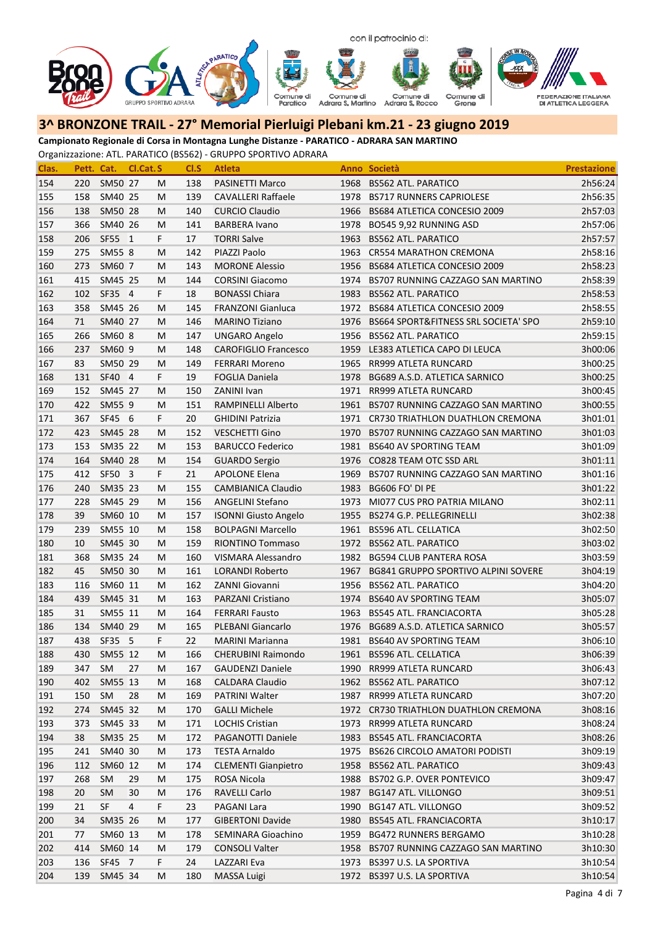

**Campionato Regionale di Corsa in Montagna Lunghe Distanze ‐ PARATICO ‐ ADRARA SAN MARTINO**

| Clas. | Pett. Cat. |           | Cl.Cat. S |    | CI.S | <b>Atleta</b>               |      | Anno Società                               | <b>Prestazione</b> |
|-------|------------|-----------|-----------|----|------|-----------------------------|------|--------------------------------------------|--------------------|
| 154   | 220        | SM50 27   |           | М  | 138  | PASINETTI Marco             | 1968 | <b>BS562 ATL. PARATICO</b>                 | 2h56:24            |
| 155   | 158        | SM40 25   |           | M  | 139  | <b>CAVALLERI Raffaele</b>   | 1978 | <b>BS717 RUNNERS CAPRIOLESE</b>            | 2h56:35            |
| 156   | 138        | SM50 28   |           | M  | 140  | <b>CURCIO Claudio</b>       | 1966 | BS684 ATLETICA CONCESIO 2009               | 2h57:03            |
| 157   | 366        | SM40 26   |           | M  | 141  | <b>BARBERA Ivano</b>        | 1978 | BO545 9,92 RUNNING ASD                     | 2h57:06            |
| 158   | 206        | SF55 1    |           | F. | 17   | <b>TORRI Salve</b>          | 1963 | <b>BS562 ATL. PARATICO</b>                 | 2h57:57            |
| 159   | 275        | SM55 8    |           | м  | 142  | PIAZZI Paolo                | 1963 | <b>CR554 MARATHON CREMONA</b>              | 2h58:16            |
| 160   | 273        | SM60 7    |           | м  | 143  | <b>MORONE Alessio</b>       | 1956 | BS684 ATLETICA CONCESIO 2009               | 2h58:23            |
| 161   | 415        | SM45 25   |           | M  | 144  | <b>CORSINI Giacomo</b>      | 1974 | BS707 RUNNING CAZZAGO SAN MARTINO          | 2h58:39            |
| 162   | 102        | SF35 4    |           | F  | 18   | <b>BONASSI Chiara</b>       | 1983 | <b>BS562 ATL. PARATICO</b>                 | 2h58:53            |
| 163   | 358        | SM45 26   |           | М  | 145  | <b>FRANZONI Gianluca</b>    | 1972 | BS684 ATLETICA CONCESIO 2009               | 2h58:55            |
| 164   | 71         | SM40 27   |           | M  | 146  | <b>MARINO Tiziano</b>       | 1976 | BS664 SPORT&FITNESS SRL SOCIETA' SPO       | 2h59:10            |
| 165   | 266        | SM60 8    |           | М  | 147  | <b>UNGARO Angelo</b>        | 1956 | <b>BS562 ATL. PARATICO</b>                 | 2h59:15            |
| 166   | 237        | SM60 9    |           | М  | 148  | <b>CAROFIGLIO Francesco</b> | 1959 | LE383 ATLETICA CAPO DI LEUCA               | 3h00:06            |
| 167   | 83         | SM50 29   |           | M  | 149  | <b>FERRARI Moreno</b>       | 1965 | RR999 ATLETA RUNCARD                       | 3h00:25            |
| 168   | 131        | SF40 4    |           | F. | 19   | <b>FOGLIA Daniela</b>       | 1978 | BG689 A.S.D. ATLETICA SARNICO              | 3h00:25            |
| 169   | 152        | SM45 27   |           | M  | 150  | ZANINI Ivan                 | 1971 | RR999 ATLETA RUNCARD                       | 3h00:45            |
| 170   | 422        | SM55 9    |           | М  | 151  | RAMPINELLI Alberto          | 1961 | BS707 RUNNING CAZZAGO SAN MARTINO          | 3h00:55            |
| 171   | 367        | SF45 6    |           | F. | 20   | <b>GHIDINI Patrizia</b>     | 1971 | CR730 TRIATHLON DUATHLON CREMONA           | 3h01:01            |
| 172   | 423        | SM45 28   |           | М  | 152  | <b>VESCHETTI Gino</b>       | 1970 | BS707 RUNNING CAZZAGO SAN MARTINO          | 3h01:03            |
| 173   | 153        | SM35 22   |           | М  | 153  | <b>BARUCCO Federico</b>     | 1981 | <b>BS640 AV SPORTING TEAM</b>              | 3h01:09            |
| 174   | 164        | SM40 28   |           | M  | 154  | <b>GUARDO Sergio</b>        | 1976 | CO828 TEAM OTC SSD ARL                     | 3h01:11            |
| 175   | 412        | SF50 3    |           | F. | 21   | <b>APOLONE Elena</b>        | 1969 | BS707 RUNNING CAZZAGO SAN MARTINO          | 3h01:16            |
| 176   | 240        | SM35 23   |           | M  | 155  | <b>CAMBIANICA Claudio</b>   | 1983 | BG606 FO' DI PE                            | 3h01:22            |
| 177   | 228        | SM45 29   |           | M  | 156  | <b>ANGELINI Stefano</b>     | 1973 | MI077 CUS PRO PATRIA MILANO                | 3h02:11            |
| 178   | 39         | SM60 10   |           | М  | 157  | <b>ISONNI Giusto Angelo</b> | 1955 | BS274 G.P. PELLEGRINELLI                   | 3h02:38            |
| 179   | 239        | SM55 10   |           | M  | 158  | <b>BOLPAGNI Marcello</b>    | 1961 | <b>BS596 ATL. CELLATICA</b>                | 3h02:50            |
| 180   | 10         | SM45 30   |           | М  | 159  | RIONTINO Tommaso            | 1972 | <b>BS562 ATL. PARATICO</b>                 | 3h03:02            |
| 181   | 368        | SM35 24   |           | M  | 160  | VISMARA Alessandro          | 1982 | <b>BG594 CLUB PANTERA ROSA</b>             | 3h03:59            |
| 182   | 45         | SM50 30   |           | M  | 161  | <b>LORANDI Roberto</b>      | 1967 | <b>BG841 GRUPPO SPORTIVO ALPINI SOVERE</b> | 3h04:19            |
| 183   | 116        | SM60 11   |           | M  | 162  | ZANNI Giovanni              | 1956 | <b>BS562 ATL. PARATICO</b>                 | 3h04:20            |
| 184   | 439        | SM45 31   |           | M  | 163  | PARZANI Cristiano           | 1974 | <b>BS640 AV SPORTING TEAM</b>              | 3h05:07            |
| 185   | 31         | SM55 11   |           | М  | 164  | <b>FERRARI Fausto</b>       | 1963 | <b>BS545 ATL. FRANCIACORTA</b>             | 3h05:28            |
| 186   | 134        | SM40 29   |           | M  | 165  | PLEBANI Giancarlo           | 1976 | BG689 A.S.D. ATLETICA SARNICO              | 3h05:57            |
| 187   | 438        | SF35 5    |           | F. | 22   | <b>MARINI Marianna</b>      | 1981 | <b>BS640 AV SPORTING TEAM</b>              | 3h06:10            |
| 188   | 430        | SM55 12   |           | М  | 166  | CHERUBINI Raimondo          |      | 1961 BS596 ATL. CELLATICA                  | 3h06:39            |
| 189   | 347        | SM        | 27        | м  | 167  | <b>GAUDENZI Daniele</b>     |      | 1990 RR999 ATLETA RUNCARD                  | 3h06:43            |
| 190   | 402        | SM55 13   |           | м  | 168  | <b>CALDARA Claudio</b>      |      | 1962 BS562 ATL. PARATICO                   | 3h07:12            |
| 191   | 150        | SM        | 28        | M  | 169  | PATRINI Walter              |      | 1987 RR999 ATLETA RUNCARD                  | 3h07:20            |
| 192   | 274        | SM45 32   |           | м  | 170  | <b>GALLI Michele</b>        |      | 1972 CR730 TRIATHLON DUATHLON CREMONA      | 3h08:16            |
| 193   | 373        | SM45 33   |           | м  | 171  | <b>LOCHIS Cristian</b>      | 1973 | RR999 ATLETA RUNCARD                       | 3h08:24            |
| 194   | 38         | SM35 25   |           | м  | 172  | PAGANOTTI Daniele           | 1983 | BS545 ATL. FRANCIACORTA                    | 3h08:26            |
| 195   | 241        | SM40 30   |           | М  | 173  | <b>TESTA Arnaldo</b>        | 1975 | <b>BS626 CIRCOLO AMATORI PODISTI</b>       | 3h09:19            |
| 196   | 112        | SM60 12   |           | м  | 174  | <b>CLEMENTI Gianpietro</b>  | 1958 | <b>BS562 ATL. PARATICO</b>                 | 3h09:43            |
| 197   | 268        | <b>SM</b> | 29        | м  | 175  | <b>ROSA Nicola</b>          | 1988 | BS702 G.P. OVER PONTEVICO                  | 3h09:47            |
| 198   | 20         | <b>SM</b> | 30        | м  | 176  | RAVELLI Carlo               | 1987 | <b>BG147 ATL. VILLONGO</b>                 | 3h09:51            |
| 199   | 21         | SF        | 4         | F. | 23   | PAGANI Lara                 | 1990 | <b>BG147 ATL. VILLONGO</b>                 | 3h09:52            |
| 200   | 34         | SM35 26   |           | M  | 177  | <b>GIBERTONI Davide</b>     | 1980 | <b>BS545 ATL. FRANCIACORTA</b>             | 3h10:17            |
| 201   | 77         | SM60 13   |           | м  | 178  | SEMINARA Gioachino          | 1959 | <b>BG472 RUNNERS BERGAMO</b>               | 3h10:28            |
| 202   | 414        | SM60 14   |           | м  | 179  | <b>CONSOLI Valter</b>       | 1958 | BS707 RUNNING CAZZAGO SAN MARTINO          | 3h10:30            |
| 203   | 136        | SF45 7    |           | F. | 24   | LAZZARI Eva                 | 1973 | BS397 U.S. LA SPORTIVA                     | 3h10:54            |
| 204   | 139        | SM45 34   |           | М  | 180  | MASSA Luigi                 |      | 1972 BS397 U.S. LA SPORTIVA                | 3h10:54            |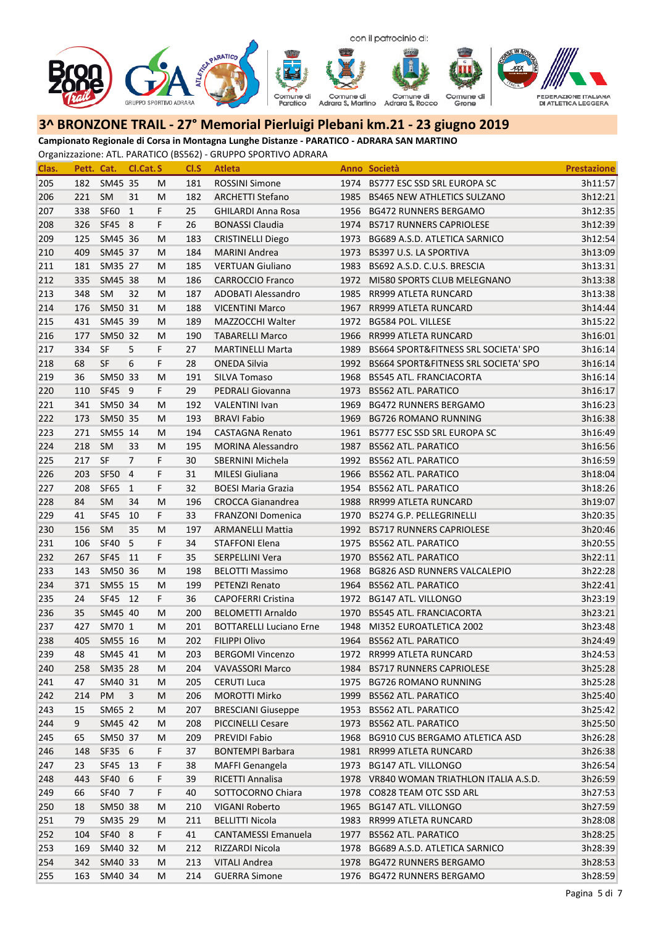

**Campionato Regionale di Corsa in Montagna Lunghe Distanze ‐ PARATICO ‐ ADRARA SAN MARTINO**

| Clas. | Pett. Cat. |             | Cl.Cat. S      |    | CI.S | <b>Atleta</b>                  |      | Anno Società                             | <b>Prestazione</b> |
|-------|------------|-------------|----------------|----|------|--------------------------------|------|------------------------------------------|--------------------|
| 205   | 182        | SM45 35     |                | М  | 181  | <b>ROSSINI Simone</b>          |      | 1974 BS777 ESC SSD SRL EUROPA SC         | 3h11:57            |
| 206   | 221        | SM          | 31             | M  | 182  | <b>ARCHETTI Stefano</b>        |      | 1985 BS465 NEW ATHLETICS SULZANO         | 3h12:21            |
| 207   | 338        | SF60        | $\mathbf{1}$   | F  | 25   | <b>GHILARDI Anna Rosa</b>      |      | 1956 BG472 RUNNERS BERGAMO               | 3h12:35            |
| 208   | 326        | SF45 8      |                | F  | 26   | <b>BONASSI Claudia</b>         |      | 1974 BS717 RUNNERS CAPRIOLESE            | 3h12:39            |
| 209   | 125        | SM45 36     |                | M  | 183  | <b>CRISTINELLI Diego</b>       | 1973 | BG689 A.S.D. ATLETICA SARNICO            | 3h12:54            |
| 210   | 409        | SM45 37     |                | M  | 184  | <b>MARINI Andrea</b>           | 1973 | <b>BS397 U.S. LA SPORTIVA</b>            | 3h13:09            |
| 211   | 181        | SM35 27     |                | M  | 185  | <b>VERTUAN Giuliano</b>        | 1983 | BS692 A.S.D. C.U.S. BRESCIA              | 3h13:31            |
| 212   | 335        | SM45 38     |                | M  | 186  | <b>CARROCCIO Franco</b>        |      | 1972 MI580 SPORTS CLUB MELEGNANO         | 3h13:38            |
| 213   | 348        | SM          | 32             | M  | 187  | ADOBATI Alessandro             |      | 1985 RR999 ATLETA RUNCARD                | 3h13:38            |
| 214   | 176        | SM50 31     |                | M  | 188  | <b>VICENTINI Marco</b>         | 1967 | RR999 ATLETA RUNCARD                     | 3h14:44            |
| 215   | 431        | SM45 39     |                | M  | 189  | MAZZOCCHI Walter               | 1972 | BG584 POL. VILLESE                       | 3h15:22            |
| 216   | 177        | SM50 32     |                | M  | 190  | <b>TABARELLI Marco</b>         | 1966 | RR999 ATLETA RUNCARD                     | 3h16:01            |
| 217   | 334        | <b>SF</b>   | 5              | F  | 27   | <b>MARTINELLI Marta</b>        | 1989 | BS664 SPORT&FITNESS SRL SOCIETA' SPO     | 3h16:14            |
| 218   | 68         | <b>SF</b>   | 6              | F  | 28   | <b>ONEDA Silvia</b>            | 1992 | BS664 SPORT&FITNESS SRL SOCIETA' SPO     | 3h16:14            |
| 219   | 36         | SM50 33     |                | M  | 191  | SILVA Tomaso                   | 1968 | <b>BS545 ATL. FRANCIACORTA</b>           | 3h16:14            |
| 220   | 110        | SF45 9      |                | F. | 29   | <b>PEDRALI Giovanna</b>        | 1973 | <b>BS562 ATL. PARATICO</b>               | 3h16:17            |
| 221   | 341        | SM50 34     |                | М  | 192  | <b>VALENTINI Ivan</b>          | 1969 | <b>BG472 RUNNERS BERGAMO</b>             | 3h16:23            |
| 222   | 173        | SM50 35     |                | M  | 193  | <b>BRAVI Fabio</b>             | 1969 | <b>BG726 ROMANO RUNNING</b>              | 3h16:38            |
| 223   | 271        | SM55 14     |                | М  | 194  | <b>CASTAGNA Renato</b>         |      | 1961 BS777 ESC SSD SRL EUROPA SC         | 3h16:49            |
| 224   | 218        | SM          | 33             | M  | 195  | <b>MORINA Alessandro</b>       | 1987 | <b>BS562 ATL. PARATICO</b>               | 3h16:56            |
| 225   | 217        | SF          | $\overline{7}$ | F  | 30   | SBERNINI Michela               | 1992 | <b>BS562 ATL. PARATICO</b>               | 3h16:59            |
| 226   | 203        | SF50        | $\overline{4}$ | F  | 31   | <b>MILESI Giuliana</b>         |      | 1966 BS562 ATL. PARATICO                 | 3h18:04            |
| 227   | 208        | SF65        | 1              | F  | 32   | <b>BOESI Maria Grazia</b>      |      | 1954 BS562 ATL. PARATICO                 | 3h18:26            |
| 228   | 84         | SM          | 34             | M  | 196  | <b>CROCCA Gianandrea</b>       |      | 1988 RR999 ATLETA RUNCARD                | 3h19:07            |
| 229   | 41         | SF45        | 10             | F  | 33   | <b>FRANZONI Domenica</b>       |      | 1970 BS274 G.P. PELLEGRINELLI            | 3h20:35            |
| 230   | 156        | <b>SM</b>   | 35             | M  | 197  | <b>ARMANELLI Mattia</b>        |      | 1992 BS717 RUNNERS CAPRIOLESE            | 3h20:46            |
| 231   | 106        | SF40        | 5              | F  | 34   | <b>STAFFONI Elena</b>          |      | 1975 BS562 ATL. PARATICO                 | 3h20:55            |
| 232   | 267        | <b>SF45</b> | 11             | F  | 35   | SERPELLINI Vera                |      | 1970 BS562 ATL. PARATICO                 | 3h22:11            |
| 233   | 143        | SM50 36     |                | M  | 198  | <b>BELOTTI Massimo</b>         | 1968 | <b>BG826 ASD RUNNERS VALCALEPIO</b>      | 3h22:28            |
| 234   | 371        | SM55 15     |                | M  | 199  | PETENZI Renato                 | 1964 | <b>BS562 ATL. PARATICO</b>               | 3h22:41            |
| 235   | 24         | SF45 12     |                | F. | 36   | <b>CAPOFERRI Cristina</b>      | 1972 | <b>BG147 ATL. VILLONGO</b>               | 3h23:19            |
| 236   | 35         | SM45 40     |                | M  | 200  | <b>BELOMETTI Arnaldo</b>       |      | 1970 BS545 ATL. FRANCIACORTA             | 3h23:21            |
| 237   | 427        | SM70 1      |                | M  | 201  | <b>BOTTARELLI Luciano Erne</b> | 1948 | MI352 EUROATLETICA 2002                  | 3h23:48            |
| 238   | 405        | SM55 16     |                | М  | 202  | <b>FILIPPI Olivo</b>           |      | 1964 BS562 ATL. PARATICO                 | 3h24:49            |
| 239   | 48         | SM45 41     |                | M  | 203  | <b>BERGOMI Vincenzo</b>        |      | 1972 RR999 ATLETA RUNCARD                | 3h24:53            |
| 240   | 258        | SM35 28     |                | M  | 204  | <b>VAVASSORI Marco</b>         |      | 1984 BS717 RUNNERS CAPRIOLESE            | 3h25:28            |
| 241   | 47         | SM40 31     |                | M  | 205  | <b>CERUTI Luca</b>             |      | 1975 BG726 ROMANO RUNNING                | 3h25:28            |
| 242   | 214        | PM          | 3              | M  | 206  | <b>MOROTTI Mirko</b>           |      | 1999 BS562 ATL. PARATICO                 | 3h25:40            |
| 243   | 15         | SM65 2      |                | M  | 207  | <b>BRESCIANI Giuseppe</b>      |      | 1953 BS562 ATL. PARATICO                 | 3h25:42            |
| 244   | 9          | SM45 42     |                | M  | 208  | <b>PICCINELLI Cesare</b>       | 1973 | <b>BS562 ATL. PARATICO</b>               | 3h25:50            |
| 245   | 65         | SM50 37     |                | M  | 209  | PREVIDI Fabio                  | 1968 | <b>BG910 CUS BERGAMO ATLETICA ASD</b>    | 3h26:28            |
| 246   | 148        | SF35 6      |                | F. | 37   | <b>BONTEMPI Barbara</b>        |      | 1981 RR999 ATLETA RUNCARD                | 3h26:38            |
| 247   | 23         | SF45 13     |                | F  | 38   | <b>MAFFI Genangela</b>         | 1973 | <b>BG147 ATL. VILLONGO</b>               | 3h26:54            |
| 248   | 443        | SF40 6      |                | F  | 39   | RICETTI Annalisa               |      | 1978 VR840 WOMAN TRIATHLON ITALIA A.S.D. | 3h26:59            |
| 249   | 66         | SF40 7      |                | F  | 40   | SOTTOCORNO Chiara              | 1978 | CO828 TEAM OTC SSD ARL                   | 3h27:53            |
| 250   | 18         | SM50 38     |                | M  | 210  | VIGANI Roberto                 | 1965 | <b>BG147 ATL. VILLONGO</b>               | 3h27:59            |
| 251   | 79         | SM35 29     |                | M  | 211  | <b>BELLITTI Nicola</b>         |      | 1983 RR999 ATLETA RUNCARD                | 3h28:08            |
| 252   | 104        | SF40 8      |                | F  | 41   | CANTAMESSI Emanuela            |      | 1977 BS562 ATL. PARATICO                 | 3h28:25            |
| 253   | 169        | SM40 32     |                | M  | 212  | RIZZARDI Nicola                |      | 1978 BG689 A.S.D. ATLETICA SARNICO       | 3h28:39            |
| 254   | 342        | SM40 33     |                | M  | 213  | <b>VITALI Andrea</b>           | 1978 | <b>BG472 RUNNERS BERGAMO</b>             | 3h28:53            |
| 255   | 163        | SM40 34     |                | M  | 214  | <b>GUERRA Simone</b>           |      | 1976 BG472 RUNNERS BERGAMO               | 3h28:59            |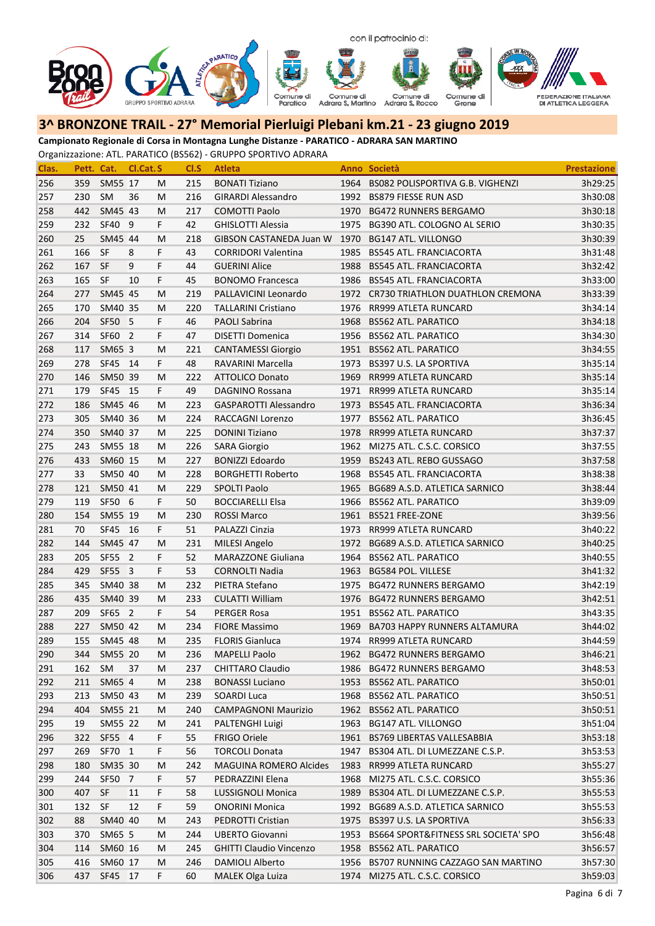

**Campionato Regionale di Corsa in Montagna Lunghe Distanze ‐ PARATICO ‐ ADRARA SAN MARTINO**

| Clas. | Pett. Cat. |           | Cl.Cat.S       |    | CI.S | <b>Atleta</b>                  |      | Anno Società                          | <b>Prestazione</b> |
|-------|------------|-----------|----------------|----|------|--------------------------------|------|---------------------------------------|--------------------|
| 256   | 359        | SM55 17   |                | м  | 215  | <b>BONATI Tiziano</b>          |      | 1964 BS082 POLISPORTIVA G.B. VIGHENZI | 3h29:25            |
| 257   | 230        | SM        | 36             | М  | 216  | <b>GIRARDI Alessandro</b>      | 1992 | <b>BS879 FIESSE RUN ASD</b>           | 3h30:08            |
| 258   | 442        | SM45 43   |                | M  | 217  | <b>COMOTTI Paolo</b>           | 1970 | <b>BG472 RUNNERS BERGAMO</b>          | 3h30:18            |
| 259   | 232        | SF40 9    |                | F. | 42   | <b>GHISLOTTI Alessia</b>       | 1975 | BG390 ATL, COLOGNO AL SERIO           | 3h30:35            |
| 260   | 25         | SM45 44   |                | M  | 218  | <b>GIBSON CASTANEDA Juan W</b> | 1970 | <b>BG147 ATL. VILLONGO</b>            | 3h30:39            |
| 261   | 166        | SF        | 8              | F  | 43   | <b>CORRIDORI Valentina</b>     | 1985 | <b>BS545 ATL. FRANCIACORTA</b>        | 3h31:48            |
| 262   | 167        | <b>SF</b> | 9              | F  | 44   | <b>GUERINI Alice</b>           | 1988 | <b>BS545 ATL. FRANCIACORTA</b>        | 3h32:42            |
| 263   | 165        | SF        | 10             | F  | 45   | <b>BONOMO Francesca</b>        |      | 1986 BS545 ATL, FRANCIACORTA          | 3h33:00            |
| 264   | 277        | SM45 45   |                | M  | 219  | PALLAVICINI Leonardo           |      | 1972 CR730 TRIATHLON DUATHLON CREMONA | 3h33:39            |
| 265   | 170        | SM40 35   |                | M  | 220  | <b>TALLARINI Cristiano</b>     | 1976 | RR999 ATLETA RUNCARD                  | 3h34:14            |
| 266   | 204        | SF50 5    |                | F  | 46   | PAOLI Sabrina                  | 1968 | <b>BS562 ATL. PARATICO</b>            | 3h34:18            |
| 267   | 314        | SF60      | $\overline{2}$ | F  | 47   | <b>DISETTI Domenica</b>        | 1956 | <b>BS562 ATL. PARATICO</b>            | 3h34:30            |
| 268   | 117        | SM65 3    |                | М  | 221  | <b>CANTAMESSI Giorgio</b>      | 1951 | <b>BS562 ATL. PARATICO</b>            | 3h34:55            |
| 269   | 278        | SF45 14   |                | F  | 48   | RAVARINI Marcella              | 1973 | BS397 U.S. LA SPORTIVA                | 3h35:14            |
| 270   | 146        | SM50 39   |                | M  | 222  | ATTOLICO Donato                | 1969 | RR999 ATLETA RUNCARD                  | 3h35:14            |
| 271   | 179        | SF45 15   |                | F. | 49   | <b>DAGNINO Rossana</b>         | 1971 | RR999 ATLETA RUNCARD                  | 3h35:14            |
| 272   | 186        | SM45 46   |                | M  | 223  | <b>GASPAROTTI Alessandro</b>   | 1973 | <b>BS545 ATL. FRANCIACORTA</b>        | 3h36:34            |
| 273   | 305        | SM40 36   |                | M  | 224  | RACCAGNI Lorenzo               | 1977 | <b>BS562 ATL. PARATICO</b>            | 3h36:45            |
| 274   | 350        | SM40 37   |                | M  | 225  | <b>DONINI Tiziano</b>          | 1978 | RR999 ATLETA RUNCARD                  | 3h37:37            |
| 275   | 243        | SM55 18   |                | M  | 226  | <b>SARA Giorgio</b>            |      | 1962 MI275 ATL. C.S.C. CORSICO        | 3h37:55            |
| 276   | 433        | SM60 15   |                | М  | 227  | <b>BONIZZI Edoardo</b>         | 1959 | BS243 ATL. REBO GUSSAGO               | 3h37:58            |
| 277   | 33         | SM50 40   |                | M  | 228  | <b>BORGHETTI Roberto</b>       |      | 1968 BS545 ATL. FRANCIACORTA          | 3h38:38            |
| 278   | 121        | SM50 41   |                | M  | 229  | <b>SPOLTI Paolo</b>            | 1965 | BG689 A.S.D. ATLETICA SARNICO         | 3h38:44            |
| 279   | 119        | SF50 6    |                | F. | 50   | <b>BOCCIARELLI Elsa</b>        | 1966 | <b>BS562 ATL. PARATICO</b>            | 3h39:09            |
| 280   | 154        | SM55 19   |                | M  | 230  | <b>ROSSI Marco</b>             | 1961 | <b>BS521 FREE-ZONE</b>                | 3h39:56            |
| 281   | 70         | SF45 16   |                | F. | 51   | PALAZZI Cinzia                 | 1973 | RR999 ATLETA RUNCARD                  | 3h40:22            |
| 282   | 144        | SM45 47   |                | M  | 231  | MILESI Angelo                  | 1972 | BG689 A.S.D. ATLETICA SARNICO         | 3h40:25            |
| 283   | 205        | SF55 2    |                | F  | 52   | <b>MARAZZONE Giuliana</b>      | 1964 | <b>BS562 ATL. PARATICO</b>            | 3h40:55            |
| 284   | 429        | SF55 3    |                | F  | 53   | <b>CORNOLTI Nadia</b>          | 1963 | BG584 POL. VILLESE                    | 3h41:32            |
| 285   | 345        | SM40 38   |                | M  | 232  | PIETRA Stefano                 | 1975 | <b>BG472 RUNNERS BERGAMO</b>          | 3h42:19            |
| 286   | 435        | SM40 39   |                | М  | 233  | <b>CULATTI William</b>         | 1976 | <b>BG472 RUNNERS BERGAMO</b>          | 3h42:51            |
| 287   | 209        | SF65 2    |                | F. | 54   | PERGER Rosa                    | 1951 | <b>BS562 ATL. PARATICO</b>            | 3h43:35            |
| 288   | 227        | SM50 42   |                | M  | 234  | <b>FIORE Massimo</b>           | 1969 | BA703 HAPPY RUNNERS ALTAMURA          | 3h44:02            |
| 289   | 155        | SM45 48   |                | М  | 235  | <b>FLORIS Gianluca</b>         | 1974 | RR999 ATLETA RUNCARD                  | 3h44:59            |
| 290   | 344        | SM55 20   |                | М  | 236  | <b>MAPELLI Paolo</b>           |      | 1962 BG472 RUNNERS BERGAMO            | 3h46:21            |
| 291   | 162        | SM        | 37             | M  | 237  | <b>CHITTARO Claudio</b>        |      | 1986 BG472 RUNNERS BERGAMO            | 3h48:53            |
| 292   | 211        | SM65 4    |                | М  | 238  | <b>BONASSI Luciano</b>         | 1953 | <b>BS562 ATL. PARATICO</b>            | 3h50:01            |
| 293   | 213        | SM50 43   |                | м  | 239  | SOARDI Luca                    |      | 1968 BS562 ATL. PARATICO              | 3h50:51            |
| 294   | 404        | SM55 21   |                | м  | 240  | <b>CAMPAGNONI Maurizio</b>     |      | 1962 BS562 ATL. PARATICO              | 3h50:51            |
| 295   | 19         | SM55 22   |                | M  | 241  | PALTENGHI Luigi                | 1963 | <b>BG147 ATL. VILLONGO</b>            | 3h51:04            |
| 296   | 322        | SF55 4    |                | F  | 55   | FRIGO Oriele                   |      | 1961 BS769 LIBERTAS VALLESABBIA       | 3h53:18            |
| 297   | 269        | SF70 1    |                | F. | 56   | <b>TORCOLI Donata</b>          | 1947 | BS304 ATL. DI LUMEZZANE C.S.P.        | 3h53:53            |
| 298   | 180        | SM35 30   |                | M  | 242  | <b>MAGUINA ROMERO Alcides</b>  | 1983 | RR999 ATLETA RUNCARD                  | 3h55:27            |
| 299   | 244        | SF50      | 7              | F. | 57   | PEDRAZZINI Elena               | 1968 | MI275 ATL. C.S.C. CORSICO             | 3h55:36            |
| 300   | 407        | <b>SF</b> | 11             | F  | 58   | LUSSIGNOLI Monica              | 1989 | BS304 ATL. DI LUMEZZANE C.S.P.        | 3h55:53            |
| 301   | 132        | <b>SF</b> | 12             | F  | 59   | <b>ONORINI Monica</b>          | 1992 | BG689 A.S.D. ATLETICA SARNICO         | 3h55:53            |
| 302   | 88         | SM40 40   |                | м  | 243  | PEDROTTI Cristian              | 1975 | BS397 U.S. LA SPORTIVA                | 3h56:33            |
| 303   | 370        | SM65 5    |                | м  | 244  | <b>UBERTO Giovanni</b>         | 1953 | BS664 SPORT&FITNESS SRL SOCIETA' SPO  | 3h56:48            |
| 304   | 114        | SM60 16   |                | м  | 245  | <b>GHITTI Claudio Vincenzo</b> | 1958 | <b>BS562 ATL. PARATICO</b>            | 3h56:57            |
| 305   | 416        | SM60 17   |                | М  | 246  | DAMIOLI Alberto                | 1956 | BS707 RUNNING CAZZAGO SAN MARTINO     | 3h57:30            |
| 306   | 437        | SF45 17   |                | F. | 60   | <b>MALEK Olga Luiza</b>        |      | 1974 MI275 ATL. C.S.C. CORSICO        | 3h59:03            |
|       |            |           |                |    |      |                                |      |                                       |                    |